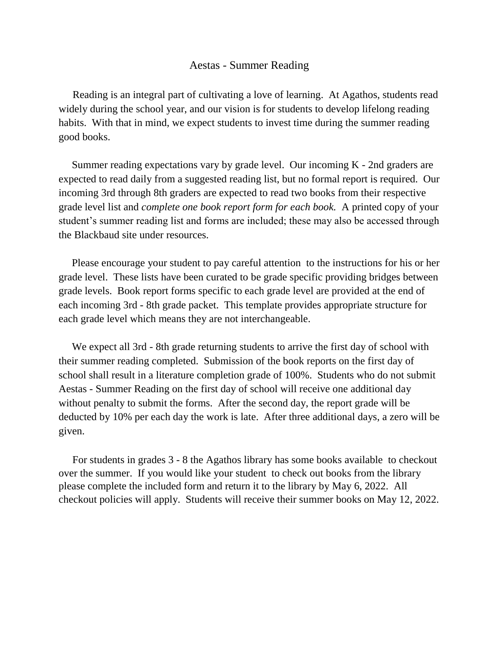#### Aestas - Summer Reading

 Reading is an integral part of cultivating a love of learning. At Agathos, students read widely during the school year, and our vision is for students to develop lifelong reading habits. With that in mind, we expect students to invest time during the summer reading good books.

 Summer reading expectations vary by grade level. Our incoming K - 2nd graders are expected to read daily from a suggested reading list, but no formal report is required. Our incoming 3rd through 8th graders are expected to read two books from their respective grade level list and *complete one book report form for each book.* A printed copy of your student's summer reading list and forms are included; these may also be accessed through the Blackbaud site under resources.

 Please encourage your student to pay careful attention to the instructions for his or her grade level. These lists have been curated to be grade specific providing bridges between grade levels. Book report forms specific to each grade level are provided at the end of each incoming 3rd - 8th grade packet. This template provides appropriate structure for each grade level which means they are not interchangeable.

We expect all 3rd - 8th grade returning students to arrive the first day of school with their summer reading completed. Submission of the book reports on the first day of school shall result in a literature completion grade of 100%. Students who do not submit Aestas - Summer Reading on the first day of school will receive one additional day without penalty to submit the forms. After the second day, the report grade will be deducted by 10% per each day the work is late. After three additional days, a zero will be given.

 For students in grades 3 - 8 the Agathos library has some books available to checkout over the summer. If you would like your student to check out books from the library please complete the included form and return it to the library by May 6, 2022. All checkout policies will apply. Students will receive their summer books on May 12, 2022.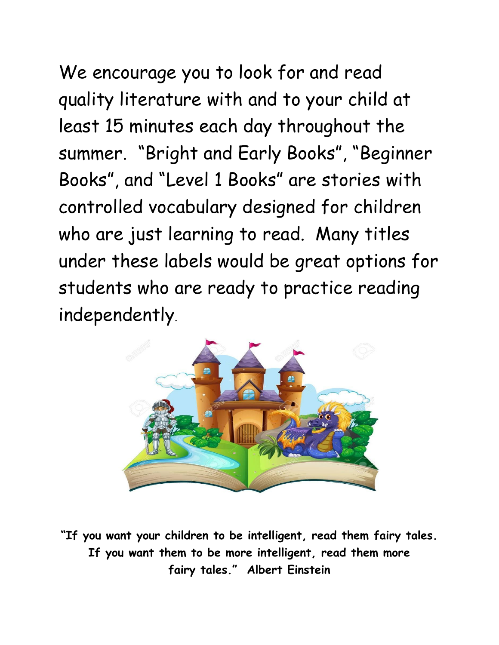We encourage you to look for and read quality literature with and to your child at least 15 minutes each day throughout the summer. "Bright and Early Books", "Beginner Books", and "Level 1 Books" are stories with controlled vocabulary designed for children who are just learning to read. Many titles under these labels would be great options for students who are ready to practice reading independently.



**"If you want your children to be intelligent, read them fairy tales. If you want them to be more intelligent, read them more fairy tales." Albert Einstein**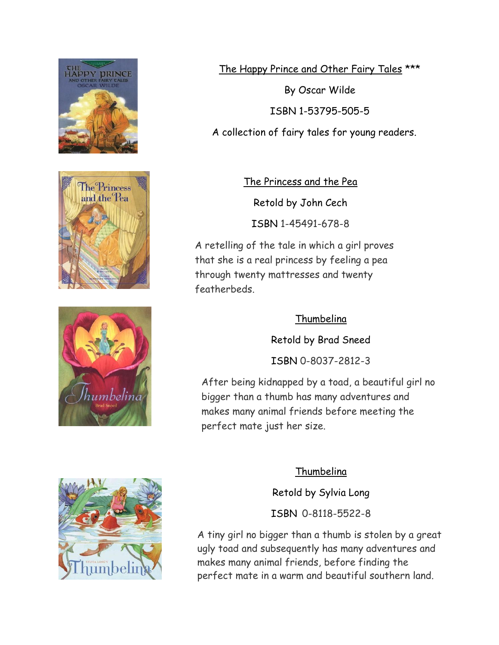







By Oscar Wilde ISBN 1-53795-505-5 A collection of fairy tales for young readers.

. The Princess and the Pea

Retold by John Cech

ISBN 1-45491-678-8

A retelling of the tale in which a girl proves that she is a real princess by feeling a pea through twenty mattresses and twenty featherbeds.

#### Thumbelina

Retold by Brad Sneed

ISBN 0-8037-2812-3

After being kidnapped by a toad, a beautiful girl no bigger than a thumb has many adventures and makes many animal friends before meeting the perfect mate just her size.

#### Thumbelina

Retold by Sylvia Long ISBN 0-8118-5522-8

A tiny girl no bigger than a thumb is stolen by a great ugly toad and subsequently has many adventures and makes many animal friends, before finding the perfect mate in a warm and beautiful southern land.

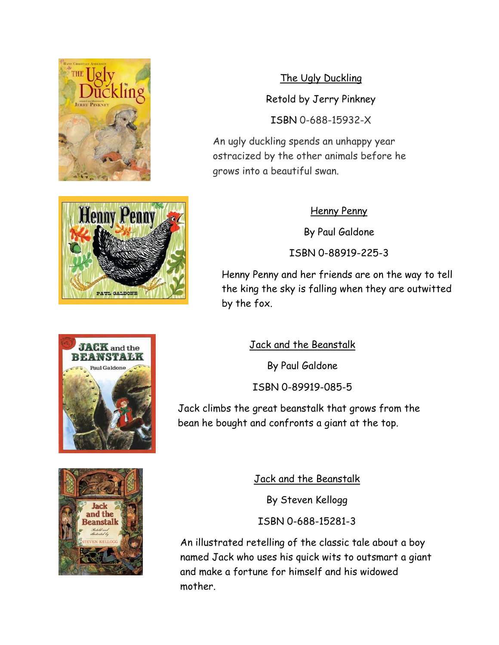

The Ugly Duckling Retold by Jerry Pinkney ISBN 0-688-15932-X

An ugly duckling spends an unhappy year ostracized by the other animals before he grows into a beautiful swan.

#### Henny Penny

By Paul Galdone

ISBN 0-88919-225-3

Henny Penny and her friends are on the way to tell the king the sky is falling when they are outwitted by the fox.

> Jack and the Beanstalk By Paul Galdone ISBN 0-89919-085-5

Jack climbs the great beanstalk that grows from the bean he bought and confronts a giant at the top.



Jack and the Beanstalk

By Steven Kellogg

ISBN 0-688-15281-3

An illustrated retelling of the classic tale about a boy named Jack who uses his quick wits to outsmart a giant and make a fortune for himself and his widowed mother.



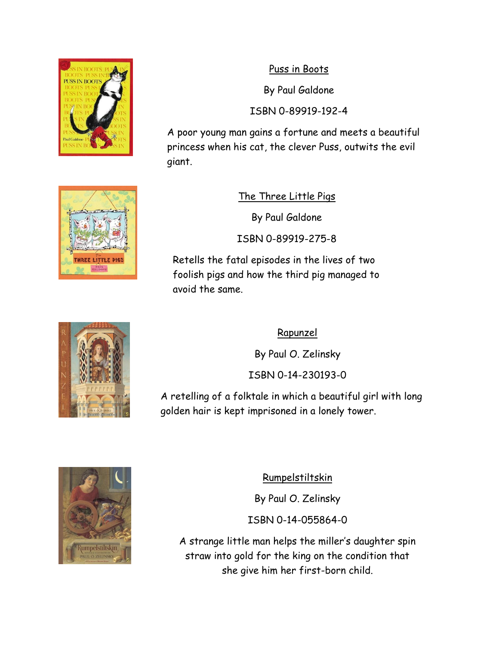

Puss in Boots

By Paul Galdone

ISBN 0-89919-192-4

A poor young man gains a fortune and meets a beautiful princess when his cat, the clever Puss, outwits the evil giant.



The Three Little Pigs

By Paul Galdone

ISBN 0-89919-275-8

Retells the fatal episodes in the lives of two foolish pigs and how the third pig managed to avoid the same.

#### Rapunzel

By Paul O. Zelinsky

ISBN 0-14-230193-0

A retelling of a folktale in which a beautiful girl with long golden hair is kept imprisoned in a lonely tower.



Rumpelstiltskin

By Paul O. Zelinsky

ISBN 0-14-055864-0

A strange little man helps the miller's daughter spin straw into gold for the king on the condition that she give him her first-born child.

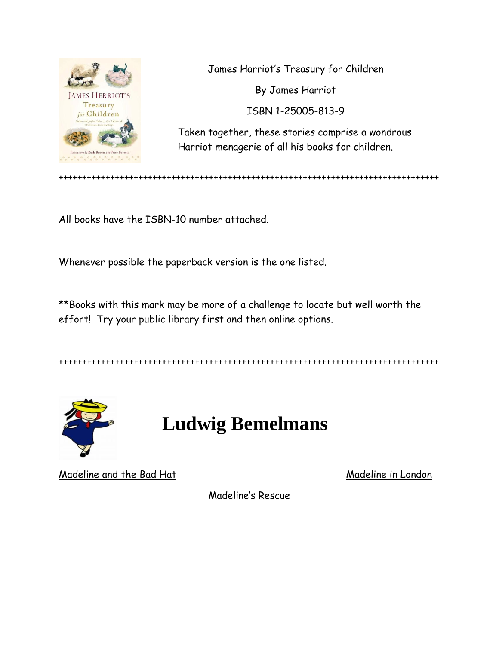

James Harriot's Treasury for Children

By James Harriot

ISBN 1-25005-813-9

Taken together, these stories comprise a wondrous Harriot menagerie of all his books for children.

+++++++++++++++++++++++++++++++++++++++++++++++++++++++++++++++++++++++++++++++++

All books have the ISBN-10 number attached.

Whenever possible the paperback version is the one listed.

\*\*Books with this mark may be more of a challenge to locate but well worth the effort! Try your public library first and then online options.

+++++++++++++++++++++++++++++++++++++++++++++++++++++++++++++++++++++++++++++++++



### **Ludwig Bemelmans**

Madeline and the Bad Hat Madeline in London

Madeline's Rescue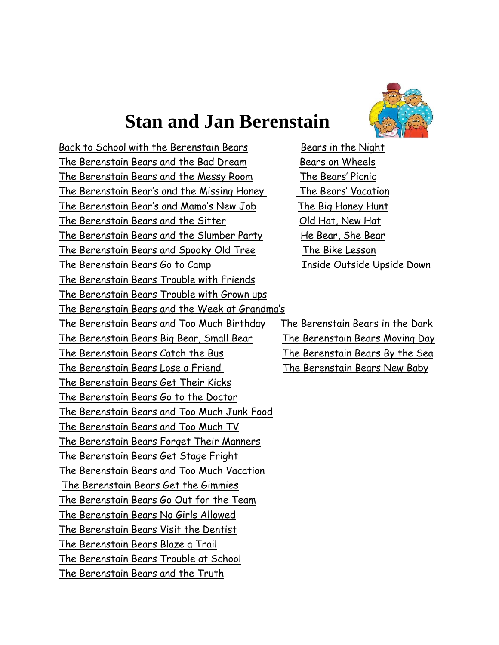### **Stan and Jan Berenstain**



Back to School with the Berenstain Bears **Bears** in the Night The Berenstain Bears and the Bad Dream Bears on Wheels The Berenstain Bears and the Messy Room The Bears' Picnic The Berenstain Bear's and the Missing Honey The Bears' Vacation The Berenstain Bear's and Mama's New Job The Big Honey Hunt The Berenstain Bears and the Sitter Old Hat, New Hat The Berenstain Bears and the Slumber Party He Bear, She Bear The Berenstain Bears and Spooky Old Tree The Bike Lesson The Berenstain Bears Go to Camp This ide Outside Upside Down The Berenstain Bears Trouble with Friends The Berenstain Bears Trouble with Grown ups The Berenstain Bears and the Week at Grandma's The Berenstain Bears and Too Much Birthday The Berenstain Bears in the Dark The Berenstain Bears Big Bear, Small Bear The Berenstain Bears Moving Day The Berenstain Bears Catch the Bus The Berenstain Bears By the Sea The Berenstain Bears Lose a Friend The Berenstain Bears New Baby The Berenstain Bears Get Their Kicks The Berenstain Bears Go to the Doctor The Berenstain Bears and Too Much Junk Food The Berenstain Bears and Too Much TV The Berenstain Bears Forget Their Manners The Berenstain Bears Get Stage Fright The Berenstain Bears and Too Much Vacation The Berenstain Bears Get the Gimmies The Berenstain Bears Go Out for the Team The Berenstain Bears No Girls Allowed The Berenstain Bears Visit the Dentist The Berenstain Bears Blaze a Trail The Berenstain Bears Trouble at School The Berenstain Bears and the Truth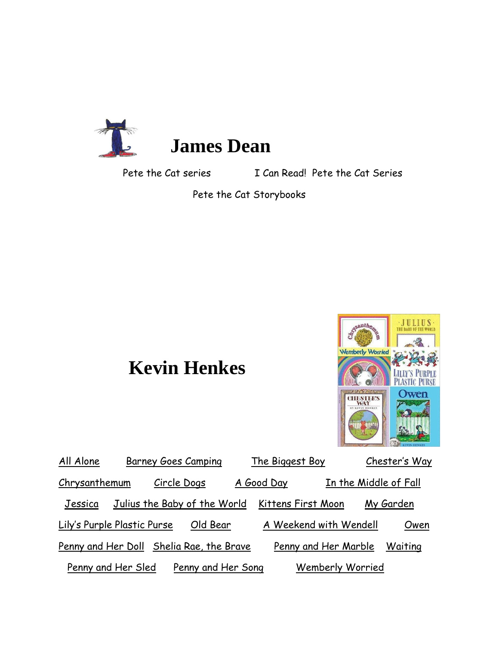

## **James Dean**

Pete the Cat series I Can Read! Pete the Cat Series

Pete the Cat Storybooks

### **Kevin Henkes**



| All Alone                   | <b>Barney Goes Camping</b>               |            | The Biggest Boy        |                       |           | Chester's Way |
|-----------------------------|------------------------------------------|------------|------------------------|-----------------------|-----------|---------------|
| Chrysanthemum               | Circle Dogs                              | A Good Day |                        | In the Middle of Fall |           |               |
| Jessica                     | Julius the Baby of the World             |            | Kittens First Moon     |                       | My Garden |               |
| Lily's Purple Plastic Purse | Old Bear                                 |            | A Weekend with Wendell |                       |           | Owen          |
|                             | Penny and Her Doll Shelia Rae, the Brave |            | Penny and Her Marble   |                       |           | Waiting       |
| Penny and Her Sled          | Penny and Her Song                       |            |                        | Wemberly Worried      |           |               |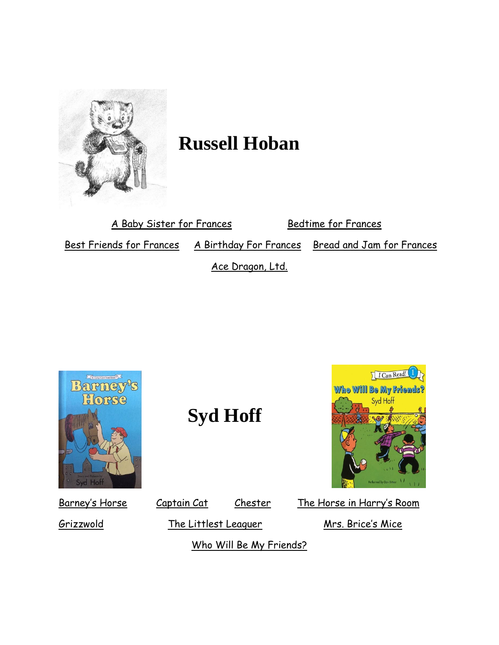

# **Russell Hoban**

A Baby Sister for Frances<br>Bedtime for Frances

Best Friends for Frances A Birthday For Frances Bread and Jam for Frances

Ace Dragon, Ltd.



**Syd Hoff** 



Grizzwold The Littlest Leaguer Mrs. Brice's Mice

Who Will Be My Friends?

Barney's Horse Captain Cat Chester The Horse in Harry's Room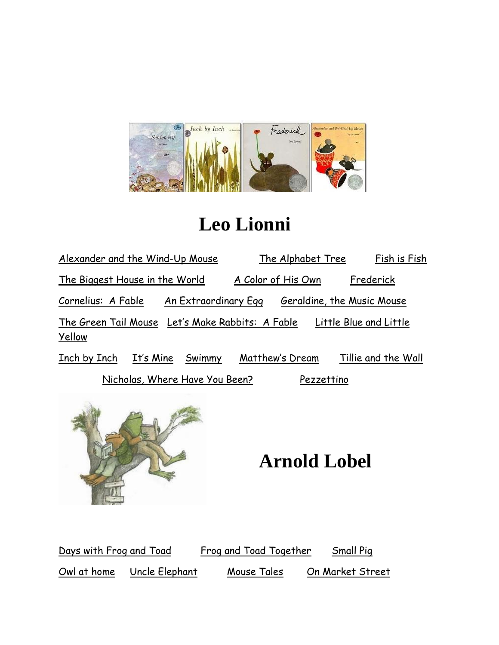

## **Leo Lionni**

| Alexander and the Wind-Up Mouse                            |                      |                                | The Alphabet Tree          |                    |  | Fish is Fish           |
|------------------------------------------------------------|----------------------|--------------------------------|----------------------------|--------------------|--|------------------------|
| The Biggest House in the World                             |                      |                                |                            | A Color of His Own |  | Frederick              |
| Cornelius: A Fable                                         | An Extraordinary Egg |                                | Geraldine, the Music Mouse |                    |  |                        |
| The Green Tail Mouse Let's Make Rabbits: A Fable<br>Yellow |                      |                                |                            |                    |  | Little Blue and Little |
| Inch by Inch                                               | It's Mine            | Swimmy                         |                            | Matthew's Dream    |  | Tillie and the Wall    |
|                                                            |                      | Nicholas, Where Have You Been? |                            | Pezzettino         |  |                        |



## **Arnold Lobel**

Days with Frog and Toad Frog and Toad Together Small Pig Owl at home Uncle Elephant Mouse Tales On Market Street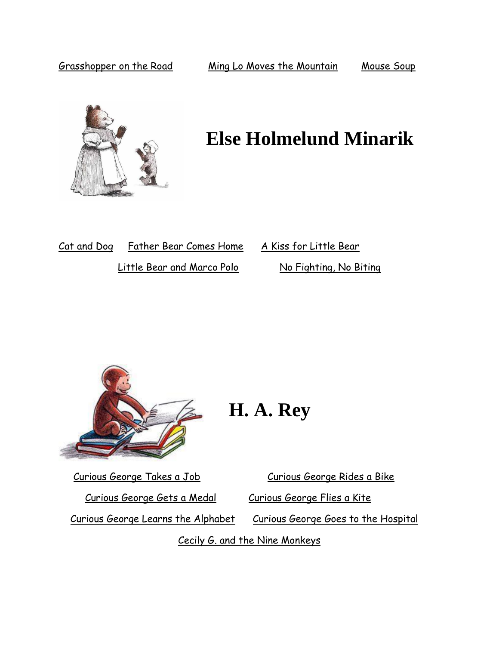

## **Else Holmelund Minarik**

| Cat and Dog Father Bear Comes Home |  |  |   |  |  |
|------------------------------------|--|--|---|--|--|
| $\cdots$                           |  |  | . |  |  |

A Kiss for Little Bear Little Bear and Marco Polo No Fighting, No Biting



## **H. A. Rey**

Curious George Gets a Medal Curious George Flies a Kite

Curious George Takes a Job Curious George Rides a Bike

Curious George Learns the Alphabet Curious George Goes to the Hospital

Cecily G. and the Nine Monkeys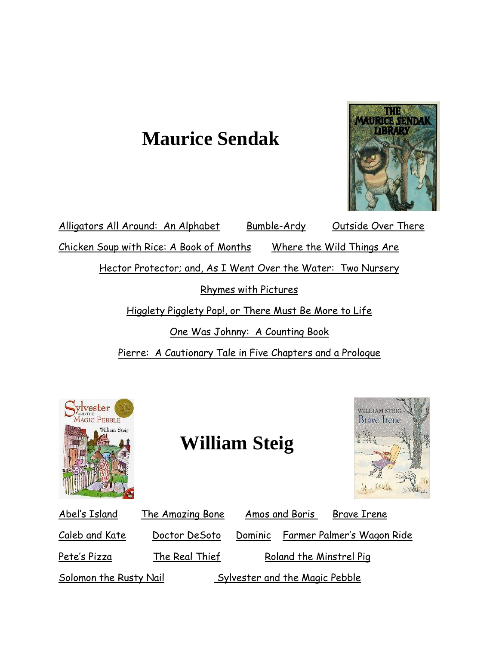## **Maurice Sendak**



Alligators All Around: An Alphabet Bumble-Ardy Outside Over There Chicken Soup with Rice: A Book of Months Where the Wild Things Are Hector Protector; and, As I Went Over the Water: Two Nursery Rhymes with Pictures Higglety Pigglety Pop!, or There Must Be More to Life One Was Johnny: A Counting Book Pierre: A Cautionary Tale in Five Chapters and a Prologue



### **William Steig**



| Abel's Island          | The Amazing Bone |         | Amos and Boris<br><b>Brave Irene</b> |
|------------------------|------------------|---------|--------------------------------------|
| Caleb and Kate         | Doctor DeSoto    | Dominic | Farmer Palmer's Wagon Ride           |
| Pete's Pizza           | The Real Thief   |         | Roland the Minstrel Pig              |
| Solomon the Rusty Nail |                  |         | Sylvester and the Magic Pebble       |